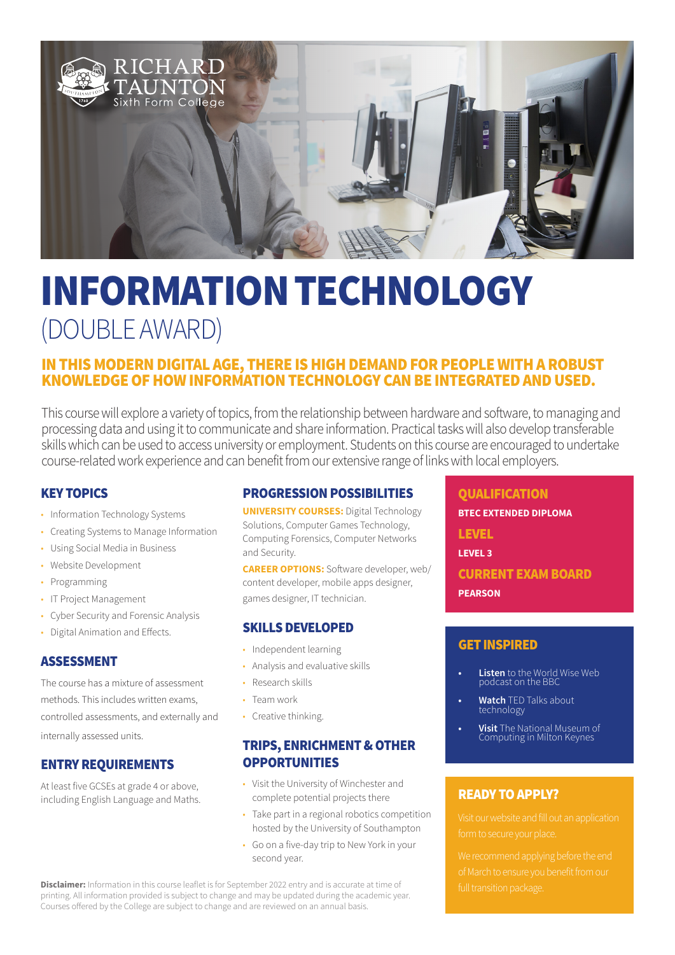

# INFORMATION TECHNOLOGY (DOUBLE AWARD)

# IN THIS MODERN DIGITAL AGE, THERE IS HIGH DEMAND FOR PEOPLE WITH A ROBUST KNOWLEDGE OF HOW INFORMATION TECHNOLOGY CAN BE INTEGRATED AND USED.

This course will explore a variety of topics, from the relationship between hardware and software, to managing and processing data and using it to communicate and share information. Practical tasks will also develop transferable skills which can be used to access university or employment. Students on this course are encouraged to undertake course-related work experience and can benefit from our extensive range of links with local employers.

# KEY TOPICS

- Information Technology Systems
- Creating Systems to Manage Information
- Using Social Media in Business
- Website Development
- Programming
- IT Project Management
- Cyber Security and Forensic Analysis
- Digital Animation and Effects.

### ASSESSMENT

The course has a mixture of assessment methods. This includes written exams, controlled assessments, and externally and internally assessed units.

# ENTRY REQUIREMENTS

At least five GCSEs at grade 4 or above, including English Language and Maths.

# PROGRESSION POSSIBILITIES

**UNIVERSITY COURSES:** Digital Technology Solutions, Computer Games Technology, Computing Forensics, Computer Networks and Security.

**CAREER OPTIONS:** Software developer, web/ content developer, mobile apps designer, games designer, IT technician.

## SKILLS DEVELOPED

- Independent learning
- Analysis and evaluative skills
- Research skills
- Team work
- Creative thinking.

## TRIPS, ENRICHMENT & OTHER **OPPORTUNITIES**

- Visit the University of Winchester and complete potential projects there
- Take part in a regional robotics competition hosted by the University of Southampton
- Go on a five-day trip to New York in your second year.

**Disclaimer:** Information in this course leaflet is for September 2022 entry and is accurate at time of printing. All information provided is subject to change and may be updated during the academic year. Courses offered by the College are subject to change and are reviewed on an annual basis.

### **QUALIFICATION**

**BTEC EXTENDED DIPLOMA**

LEVEL

**LEVEL 3**

CURRENT EXAM BOARD **PEARSON**

## GET INSPIRED

- **• Listen** to the World Wise Web podcast on the BBC
- **• Watch** TED Talks about technology
- **• Visit** The National Museum of Computing in Milton Keynes

# READY TO APPLY?